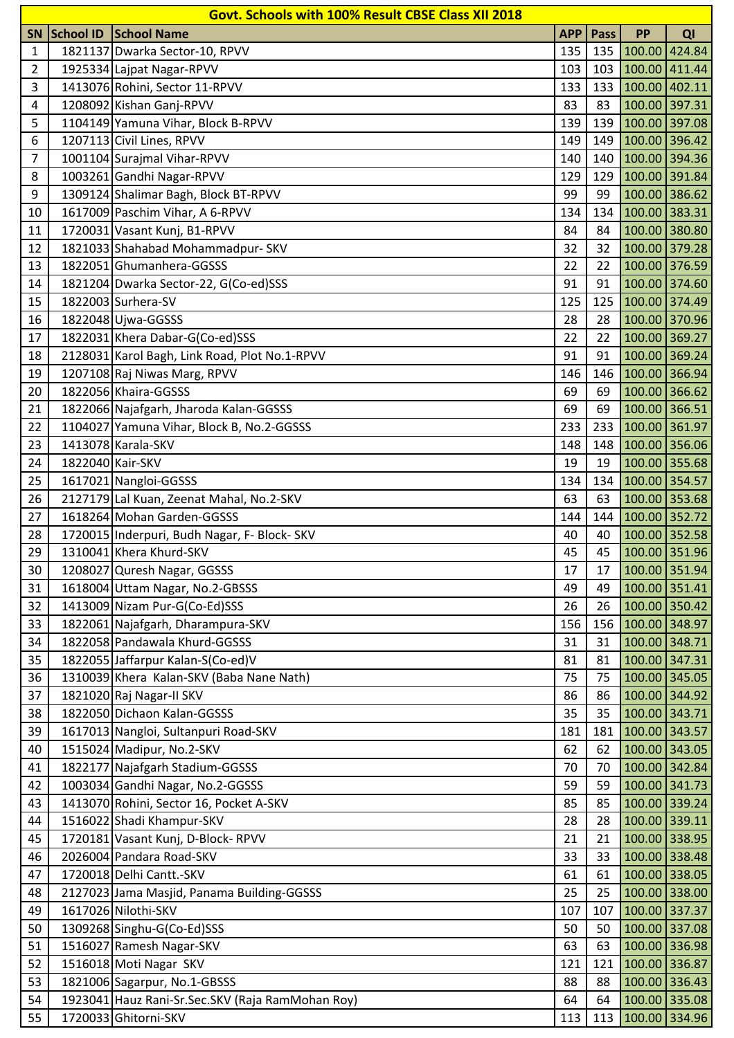|           | <b>Govt. Schools with 100% Result CBSE Class XII 2018</b> |                                                  |            |      |    |               |  |  |  |
|-----------|-----------------------------------------------------------|--------------------------------------------------|------------|------|----|---------------|--|--|--|
| <b>SN</b> |                                                           | School ID School Name                            | <b>APP</b> | Pass | PP | QI            |  |  |  |
| 1         |                                                           | 1821137 Dwarka Sector-10, RPVV                   | 135        | 135  |    | 100.00 424.84 |  |  |  |
| 2         |                                                           | 1925334 Lajpat Nagar-RPVV                        | 103        | 103  |    | 100.00 411.44 |  |  |  |
| 3         |                                                           | 1413076 Rohini, Sector 11-RPVV                   | 133        | 133  |    | 100.00 402.11 |  |  |  |
| 4         |                                                           | 1208092 Kishan Ganj-RPVV                         | 83         | 83   |    | 100.00 397.31 |  |  |  |
| 5         |                                                           | 1104149 Yamuna Vihar, Block B-RPVV               | 139        | 139  |    | 100.00 397.08 |  |  |  |
| 6         |                                                           | 1207113 Civil Lines, RPVV                        | 149        | 149  |    | 100.00 396.42 |  |  |  |
| 7         |                                                           | 1001104 Surajmal Vihar-RPVV                      | 140        | 140  |    | 100.00 394.36 |  |  |  |
| 8         |                                                           | 1003261 Gandhi Nagar-RPVV                        | 129        | 129  |    | 100.00 391.84 |  |  |  |
| 9         |                                                           | 1309124 Shalimar Bagh, Block BT-RPVV             | 99         | 99   |    | 100.00 386.62 |  |  |  |
| 10        |                                                           | 1617009 Paschim Vihar, A 6-RPVV                  | 134        | 134  |    | 100.00 383.31 |  |  |  |
| 11        |                                                           | 1720031 Vasant Kunj, B1-RPVV                     | 84         | 84   |    | 100.00 380.80 |  |  |  |
| 12        |                                                           | 1821033 Shahabad Mohammadpur- SKV                | 32         | 32   |    | 100.00 379.28 |  |  |  |
| 13        |                                                           | 1822051 Ghumanhera-GGSSS                         | 22         | 22   |    | 100.00 376.59 |  |  |  |
| 14        |                                                           | 1821204 Dwarka Sector-22, G(Co-ed)SSS            | 91         | 91   |    | 100.00 374.60 |  |  |  |
| 15        |                                                           | 1822003 Surhera-SV                               | 125        | 125  |    | 100.00 374.49 |  |  |  |
| 16        |                                                           | 1822048 Ujwa-GGSSS                               | 28         | 28   |    | 100.00 370.96 |  |  |  |
| 17        |                                                           | 1822031 Khera Dabar-G(Co-ed)SSS                  | 22         | 22   |    | 100.00 369.27 |  |  |  |
| 18        |                                                           | 2128031 Karol Bagh, Link Road, Plot No.1-RPVV    | 91         | 91   |    | 100.00 369.24 |  |  |  |
| 19        |                                                           | 1207108 Raj Niwas Marg, RPVV                     | 146        | 146  |    | 100.00 366.94 |  |  |  |
| 20        |                                                           | 1822056 Khaira-GGSSS                             | 69         | 69   |    | 100.00 366.62 |  |  |  |
| 21        |                                                           | 1822066 Najafgarh, Jharoda Kalan-GGSSS           | 69         | 69   |    | 100.00 366.51 |  |  |  |
| 22        |                                                           | 1104027 Yamuna Vihar, Block B, No.2-GGSSS        | 233        | 233  |    | 100.00 361.97 |  |  |  |
| 23        |                                                           | 1413078 Karala-SKV                               | 148        | 148  |    | 100.00 356.06 |  |  |  |
| 24        | 1822040 Kair-SKV                                          |                                                  | 19         | 19   |    | 100.00 355.68 |  |  |  |
| 25        |                                                           | 1617021 Nangloi-GGSSS                            | 134        | 134  |    | 100.00 354.57 |  |  |  |
| 26        |                                                           | 2127179 Lal Kuan, Zeenat Mahal, No.2-SKV         | 63         | 63   |    | 100.00 353.68 |  |  |  |
| 27        |                                                           | 1618264 Mohan Garden-GGSSS                       | 144        | 144  |    | 100.00 352.72 |  |  |  |
| 28        |                                                           | 1720015 Inderpuri, Budh Nagar, F- Block-SKV      | 40         | 40   |    | 100.00 352.58 |  |  |  |
| 29        |                                                           | 1310041 Khera Khurd-SKV                          | 45         | 45   |    | 100.00 351.96 |  |  |  |
| 30        |                                                           | 1208027 Quresh Nagar, GGSSS                      | 17         | 17   |    | 100.00 351.94 |  |  |  |
| 31        |                                                           | 1618004 Uttam Nagar, No.2-GBSSS                  | 49         | 49   |    | 100.00 351.41 |  |  |  |
| 32        |                                                           | 1413009 Nizam Pur-G(Co-Ed)SSS                    | 26         | 26   |    | 100.00 350.42 |  |  |  |
| 33        |                                                           | 1822061 Najafgarh, Dharampura-SKV                | 156        | 156  |    | 100.00 348.97 |  |  |  |
| 34        |                                                           | 1822058 Pandawala Khurd-GGSSS                    | 31         | 31   |    | 100.00 348.71 |  |  |  |
| 35        |                                                           | 1822055 Jaffarpur Kalan-S(Co-ed)V                | 81         | 81   |    | 100.00 347.31 |  |  |  |
| 36        |                                                           | 1310039 Khera Kalan-SKV (Baba Nane Nath)         | 75         | 75   |    | 100.00 345.05 |  |  |  |
| 37        |                                                           | 1821020 Raj Nagar-II SKV                         | 86         | 86   |    | 100.00 344.92 |  |  |  |
| 38        |                                                           | 1822050 Dichaon Kalan-GGSSS                      | 35         | 35   |    | 100.00 343.71 |  |  |  |
| 39        |                                                           | 1617013 Nangloi, Sultanpuri Road-SKV             | 181        | 181  |    | 100.00 343.57 |  |  |  |
| 40        |                                                           | 1515024 Madipur, No.2-SKV                        | 62         | 62   |    | 100.00 343.05 |  |  |  |
| 41        |                                                           | 1822177 Najafgarh Stadium-GGSSS                  | 70         | 70   |    | 100.00 342.84 |  |  |  |
| 42        |                                                           | 1003034 Gandhi Nagar, No.2-GGSSS                 | 59         | 59   |    | 100.00 341.73 |  |  |  |
| 43        |                                                           | 1413070 Rohini, Sector 16, Pocket A-SKV          | 85         | 85   |    | 100.00 339.24 |  |  |  |
| 44        |                                                           | 1516022 Shadi Khampur-SKV                        | 28         | 28   |    | 100.00 339.11 |  |  |  |
| 45        |                                                           | 1720181 Vasant Kunj, D-Block-RPVV                | 21         | 21   |    | 100.00 338.95 |  |  |  |
| 46        |                                                           | 2026004 Pandara Road-SKV                         | 33         | 33   |    | 100.00 338.48 |  |  |  |
| 47        |                                                           | 1720018 Delhi Cantt.-SKV                         | 61         | 61   |    | 100.00 338.05 |  |  |  |
| 48        |                                                           | 2127023 Jama Masjid, Panama Building-GGSSS       | 25         | 25   |    | 100.00 338.00 |  |  |  |
| 49        |                                                           | 1617026 Nilothi-SKV                              | 107        | 107  |    | 100.00 337.37 |  |  |  |
| 50        |                                                           | 1309268 Singhu-G(Co-Ed)SSS                       | 50         | 50   |    | 100.00 337.08 |  |  |  |
| 51        |                                                           | 1516027 Ramesh Nagar-SKV                         | 63         | 63   |    | 100.00 336.98 |  |  |  |
| 52        |                                                           | 1516018 Moti Nagar SKV                           | 121        | 121  |    | 100.00 336.87 |  |  |  |
| 53        |                                                           | 1821006 Sagarpur, No.1-GBSSS                     | 88         | 88   |    | 100.00 336.43 |  |  |  |
| 54        |                                                           | 1923041 Hauz Rani-Sr.Sec.SKV (Raja RamMohan Roy) | 64         | 64   |    | 100.00 335.08 |  |  |  |
| 55        |                                                           | 1720033 Ghitorni-SKV                             | 113        | 113  |    | 100.00 334.96 |  |  |  |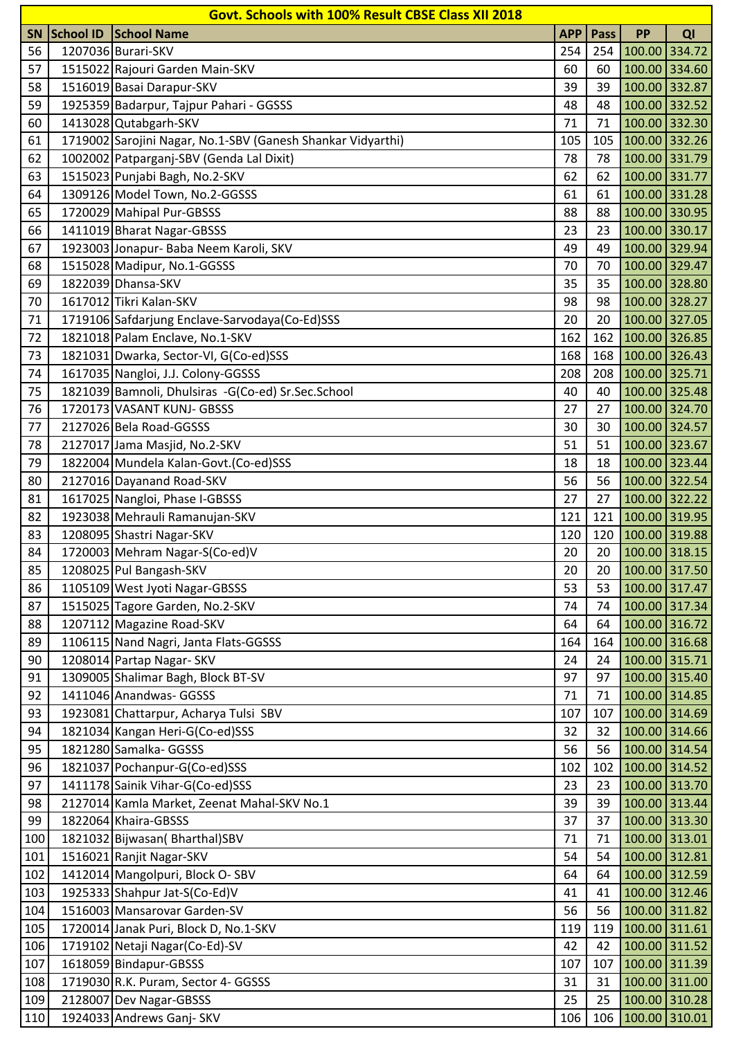| <b>Govt. Schools with 100% Result CBSE Class XII 2018</b> |           |                                                             |            |      |    |               |  |  |
|-----------------------------------------------------------|-----------|-------------------------------------------------------------|------------|------|----|---------------|--|--|
| SN                                                        | School ID | School Name                                                 | <b>APP</b> | Pass | PP | QI            |  |  |
| 56                                                        |           | 1207036 Burari-SKV                                          | 254        | 254  |    | 100.00 334.72 |  |  |
| 57                                                        |           | 1515022 Rajouri Garden Main-SKV                             | 60         | 60   |    | 100.00 334.60 |  |  |
| 58                                                        |           | 1516019 Basai Darapur-SKV                                   | 39         | 39   |    | 100.00 332.87 |  |  |
| 59                                                        |           | 1925359 Badarpur, Tajpur Pahari - GGSSS                     | 48         | 48   |    | 100.00 332.52 |  |  |
| 60                                                        |           | 1413028 Qutabgarh-SKV                                       | 71         | 71   |    | 100.00 332.30 |  |  |
| 61                                                        |           | 1719002 Sarojini Nagar, No.1-SBV (Ganesh Shankar Vidyarthi) | 105        | 105  |    | 100.00 332.26 |  |  |
| 62                                                        |           | 1002002 Patparganj-SBV (Genda Lal Dixit)                    | 78         | 78   |    | 100.00 331.79 |  |  |
| 63                                                        |           | 1515023 Punjabi Bagh, No.2-SKV                              | 62         | 62   |    | 100.00 331.77 |  |  |
| 64                                                        |           | 1309126 Model Town, No.2-GGSSS                              | 61         | 61   |    | 100.00 331.28 |  |  |
| 65                                                        |           | 1720029 Mahipal Pur-GBSSS                                   | 88         | 88   |    | 100.00 330.95 |  |  |
| 66                                                        |           | 1411019 Bharat Nagar-GBSSS                                  | 23         | 23   |    | 100.00 330.17 |  |  |
| 67                                                        |           | 1923003 Jonapur- Baba Neem Karoli, SKV                      | 49         | 49   |    | 100.00 329.94 |  |  |
| 68                                                        |           | 1515028 Madipur, No.1-GGSSS                                 | 70         | 70   |    | 100.00 329.47 |  |  |
| 69                                                        |           | 1822039 Dhansa-SKV                                          | 35         | 35   |    | 100.00 328.80 |  |  |
| 70                                                        |           | 1617012 Tikri Kalan-SKV                                     | 98         | 98   |    | 100.00 328.27 |  |  |
| 71                                                        |           | 1719106 Safdarjung Enclave-Sarvodaya (Co-Ed)SSS             | 20         | 20   |    | 100.00 327.05 |  |  |
| 72                                                        |           | 1821018 Palam Enclave, No.1-SKV                             | 162        | 162  |    | 100.00 326.85 |  |  |
| 73                                                        |           | 1821031 Dwarka, Sector-VI, G(Co-ed)SSS                      | 168        | 168  |    | 100.00 326.43 |  |  |
| 74                                                        |           | 1617035 Nangloi, J.J. Colony-GGSSS                          | 208        | 208  |    | 100.00 325.71 |  |  |
| 75                                                        |           | 1821039 Bamnoli, Dhulsiras -G(Co-ed) Sr.Sec.School          | 40         | 40   |    | 100.00 325.48 |  |  |
| 76                                                        |           | 1720173 VASANT KUNJ- GBSSS                                  | 27         | 27   |    | 100.00 324.70 |  |  |
| 77                                                        |           | 2127026 Bela Road-GGSSS                                     | 30         | 30   |    | 100.00 324.57 |  |  |
| 78                                                        |           | 2127017 Jama Masjid, No.2-SKV                               | 51         | 51   |    | 100.00 323.67 |  |  |
| 79                                                        |           | 1822004 Mundela Kalan-Govt. (Co-ed)SSS                      | 18         | 18   |    | 100.00 323.44 |  |  |
| 80                                                        |           | 2127016 Dayanand Road-SKV                                   | 56         | 56   |    | 100.00 322.54 |  |  |
| 81                                                        |           | 1617025 Nangloi, Phase I-GBSSS                              | 27         | 27   |    | 100.00 322.22 |  |  |
| 82                                                        |           | 1923038 Mehrauli Ramanujan-SKV                              | 121        | 121  |    | 100.00 319.95 |  |  |
| 83                                                        |           | 1208095 Shastri Nagar-SKV                                   | 120        | 120  |    | 100.00 319.88 |  |  |
| 84                                                        |           | 1720003 Mehram Nagar-S(Co-ed)V                              | 20         | 20   |    | 100.00 318.15 |  |  |
| 85                                                        |           | 1208025 Pul Bangash-SKV                                     | 20         | 20   |    | 100.00 317.50 |  |  |
| 86                                                        |           | 1105109 West Jyoti Nagar-GBSSS                              | 53         | 53   |    | 100.00 317.47 |  |  |
| 87                                                        |           | 1515025 Tagore Garden, No.2-SKV                             | 74         | 74   |    | 100.00 317.34 |  |  |
| 88                                                        |           | 1207112 Magazine Road-SKV                                   | 64         | 64   |    | 100.00 316.72 |  |  |
| 89                                                        |           | 1106115 Nand Nagri, Janta Flats-GGSSS                       | 164        | 164  |    | 100.00 316.68 |  |  |
| 90                                                        |           | 1208014 Partap Nagar-SKV                                    | 24         | 24   |    | 100.00 315.71 |  |  |
| 91                                                        |           | 1309005 Shalimar Bagh, Block BT-SV                          | 97         | 97   |    | 100.00 315.40 |  |  |
| 92                                                        |           | 1411046 Anandwas- GGSSS                                     | 71         | 71   |    | 100.00 314.85 |  |  |
| 93                                                        |           | 1923081 Chattarpur, Acharya Tulsi SBV                       | 107        | 107  |    | 100.00 314.69 |  |  |
| 94                                                        |           | 1821034 Kangan Heri-G(Co-ed)SSS                             | 32         | 32   |    | 100.00 314.66 |  |  |
| 95                                                        |           | 1821280 Samalka- GGSSS                                      | 56         | 56   |    | 100.00 314.54 |  |  |
| 96                                                        |           | 1821037 Pochanpur-G(Co-ed)SSS                               | 102        | 102  |    | 100.00 314.52 |  |  |
| 97                                                        |           | 1411178 Sainik Vihar-G(Co-ed)SSS                            | 23         | 23   |    | 100.00 313.70 |  |  |
| 98                                                        |           | 2127014 Kamla Market, Zeenat Mahal-SKV No.1                 | 39         | 39   |    | 100.00 313.44 |  |  |
| 99                                                        |           | 1822064 Khaira-GBSSS                                        | 37         | 37   |    | 100.00 313.30 |  |  |
| 100                                                       |           | 1821032 Bijwasan (Bharthal)SBV                              | 71         | 71   |    | 100.00 313.01 |  |  |
| 101                                                       |           | 1516021 Ranjit Nagar-SKV                                    | 54         | 54   |    | 100.00 312.81 |  |  |
| 102                                                       |           | 1412014 Mangolpuri, Block O-SBV                             | 64         | 64   |    | 100.00 312.59 |  |  |
| 103                                                       |           | 1925333 Shahpur Jat-S(Co-Ed)V                               | 41         | 41   |    | 100.00 312.46 |  |  |
| 104                                                       |           | 1516003 Mansarovar Garden-SV                                | 56         | 56   |    | 100.00 311.82 |  |  |
| 105                                                       |           | 1720014 Janak Puri, Block D, No.1-SKV                       | 119        | 119  |    | 100.00 311.61 |  |  |
| 106                                                       |           | 1719102 Netaji Nagar(Co-Ed)-SV                              | 42         | 42   |    | 100.00 311.52 |  |  |
| 107                                                       |           | 1618059 Bindapur-GBSSS                                      | 107        | 107  |    | 100.00 311.39 |  |  |
| 108                                                       |           | 1719030 R.K. Puram, Sector 4- GGSSS                         | 31         | 31   |    | 100.00 311.00 |  |  |
| 109                                                       |           | 2128007 Dev Nagar-GBSSS                                     | 25         | 25   |    | 100.00 310.28 |  |  |
| 110                                                       |           | 1924033 Andrews Ganj-SKV                                    | 106        | 106  |    | 100.00 310.01 |  |  |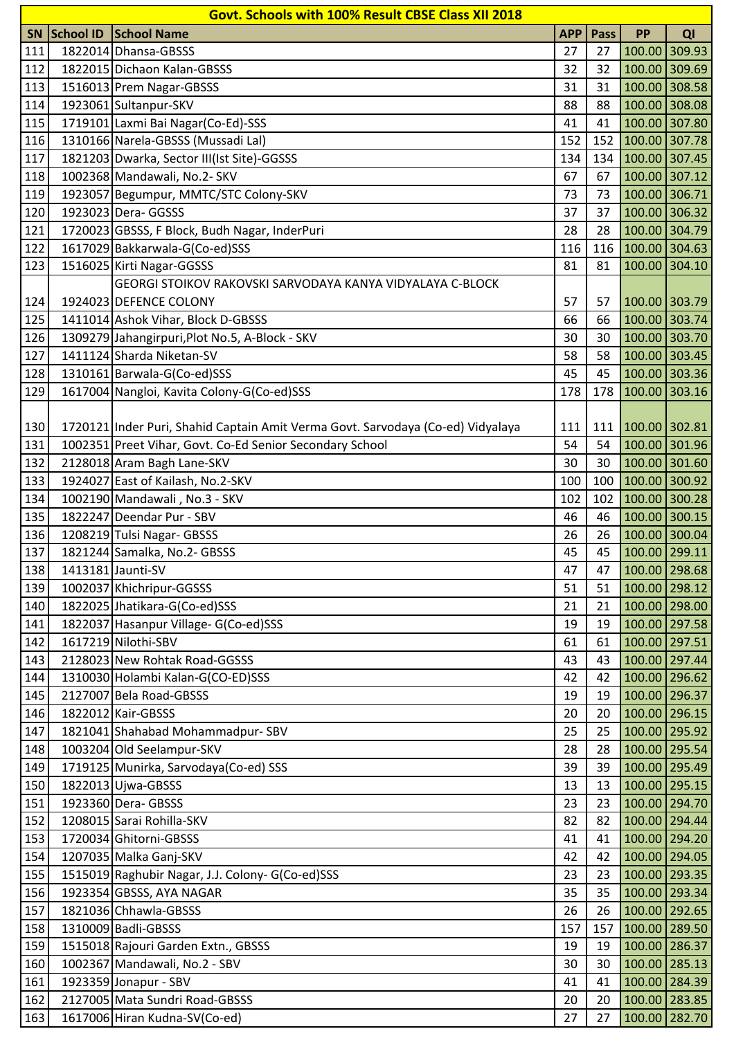| <b>Govt. Schools with 100% Result CBSE Class XII 2018</b> |  |                                                                                 |            |      |                   |               |  |  |
|-----------------------------------------------------------|--|---------------------------------------------------------------------------------|------------|------|-------------------|---------------|--|--|
|                                                           |  | SN School ID School Name                                                        | <b>APP</b> | Pass | PP                | QI            |  |  |
| 111                                                       |  | 1822014 Dhansa-GBSSS                                                            | 27         | 27   |                   | 100.00 309.93 |  |  |
| 112                                                       |  | 1822015 Dichaon Kalan-GBSSS                                                     | 32         | 32   |                   | 100.00 309.69 |  |  |
| 113                                                       |  | 1516013 Prem Nagar-GBSSS                                                        | 31         | 31   |                   | 100.00 308.58 |  |  |
| 114                                                       |  | 1923061 Sultanpur-SKV                                                           | 88         | 88   |                   | 100.00 308.08 |  |  |
| 115                                                       |  | 1719101 Laxmi Bai Nagar (Co-Ed)-SSS                                             | 41         | 41   |                   | 100.00 307.80 |  |  |
| 116                                                       |  | 1310166 Narela-GBSSS (Mussadi Lal)                                              | 152        | 152  |                   | 100.00 307.78 |  |  |
| 117                                                       |  | 1821203 Dwarka, Sector III(Ist Site)-GGSSS                                      | 134        | 134  |                   | 100.00 307.45 |  |  |
| 118                                                       |  | 1002368 Mandawali, No.2- SKV                                                    | 67         | 67   |                   | 100.00 307.12 |  |  |
| 119                                                       |  | 1923057 Begumpur, MMTC/STC Colony-SKV                                           | 73         | 73   |                   | 100.00 306.71 |  |  |
| 120                                                       |  | 1923023 Dera- GGSSS                                                             | 37         | 37   |                   | 100.00 306.32 |  |  |
| 121                                                       |  | 1720023 GBSSS, F Block, Budh Nagar, InderPuri                                   | 28         | 28   |                   | 100.00 304.79 |  |  |
| 122                                                       |  | 1617029 Bakkarwala-G(Co-ed)SSS                                                  | 116        | 116  |                   | 100.00 304.63 |  |  |
| 123                                                       |  | 1516025 Kirti Nagar-GGSSS                                                       | 81         | 81   |                   | 100.00 304.10 |  |  |
|                                                           |  | GEORGI STOIKOV RAKOVSKI SARVODAYA KANYA VIDYALAYA C-BLOCK                       |            |      |                   |               |  |  |
| 124                                                       |  | 1924023 DEFENCE COLONY                                                          | 57         | 57   | 100.00 303.79     |               |  |  |
| 125                                                       |  | 1411014 Ashok Vihar, Block D-GBSSS                                              | 66         | 66   |                   | 100.00 303.74 |  |  |
| 126                                                       |  | 1309279 Jahangirpuri, Plot No.5, A-Block - SKV                                  | 30         | 30   |                   | 100.00 303.70 |  |  |
| 127                                                       |  | 1411124 Sharda Niketan-SV                                                       | 58         | 58   |                   | 100.00 303.45 |  |  |
| 128                                                       |  | 1310161 Barwala-G(Co-ed)SSS                                                     | 45         | 45   |                   | 100.00 303.36 |  |  |
| 129                                                       |  | 1617004 Nangloi, Kavita Colony-G(Co-ed)SSS                                      | 178        | 178  |                   | 100.00 303.16 |  |  |
|                                                           |  |                                                                                 |            |      |                   |               |  |  |
| 130                                                       |  | 1720121 Inder Puri, Shahid Captain Amit Verma Govt. Sarvodaya (Co-ed) Vidyalaya | 111        |      | 111 100.00 302.81 |               |  |  |
| 131                                                       |  | 1002351 Preet Vihar, Govt. Co-Ed Senior Secondary School                        | 54         | 54   |                   | 100.00 301.96 |  |  |
| 132                                                       |  | 2128018 Aram Bagh Lane-SKV                                                      | 30         | 30   |                   | 100.00 301.60 |  |  |
| 133                                                       |  | 1924027 East of Kailash, No.2-SKV                                               | 100        | 100  |                   | 100.00 300.92 |  |  |
| 134                                                       |  | 1002190 Mandawali, No.3 - SKV                                                   | 102        | 102  |                   | 100.00 300.28 |  |  |
| 135                                                       |  | 1822247 Deendar Pur - SBV                                                       | 46         | 46   |                   | 100.00 300.15 |  |  |
| 136                                                       |  | 1208219 Tulsi Nagar- GBSSS                                                      | 26         | 26   |                   | 100.00 300.04 |  |  |
| 137                                                       |  | 1821244 Samalka, No.2- GBSSS                                                    | 45         | 45   |                   | 100.00 299.11 |  |  |
| 138                                                       |  | 1413181 Jaunti-SV                                                               | 47         | 47   |                   | 100.00 298.68 |  |  |
| 139                                                       |  | 1002037 Khichripur-GGSSS                                                        | 51         | 51   |                   | 100.00 298.12 |  |  |
| 140                                                       |  | 1822025 Jhatikara-G(Co-ed)SSS                                                   | 21         | 21   |                   | 100.00 298.00 |  |  |
| 141                                                       |  | 1822037 Hasanpur Village- G(Co-ed)SSS                                           | 19         | 19   |                   | 100.00 297.58 |  |  |
| 142                                                       |  | 1617219 Nilothi-SBV                                                             | 61         | 61   |                   | 100.00 297.51 |  |  |
| 143                                                       |  | 2128023 New Rohtak Road-GGSSS                                                   | 43         | 43   |                   | 100.00 297.44 |  |  |
| 144                                                       |  | 1310030 Holambi Kalan-G(CO-ED)SSS                                               | 42         | 42   |                   | 100.00 296.62 |  |  |
| 145                                                       |  | 2127007 Bela Road-GBSSS                                                         | 19         | 19   |                   | 100.00 296.37 |  |  |
| 146                                                       |  | 1822012 Kair-GBSSS                                                              | 20         | 20   |                   | 100.00 296.15 |  |  |
| 147                                                       |  | 1821041 Shahabad Mohammadpur-SBV                                                | 25         | 25   |                   | 100.00 295.92 |  |  |
| 148                                                       |  | 1003204 Old Seelampur-SKV                                                       | 28         | 28   |                   | 100.00 295.54 |  |  |
| 149                                                       |  | 1719125 Munirka, Sarvodaya (Co-ed) SSS                                          | 39         | 39   |                   | 100.00 295.49 |  |  |
| 150                                                       |  | 1822013 Ujwa-GBSSS                                                              | 13         | 13   |                   | 100.00 295.15 |  |  |
| 151                                                       |  | 1923360 Dera- GBSSS                                                             | 23         | 23   |                   | 100.00 294.70 |  |  |
| 152                                                       |  | 1208015 Sarai Rohilla-SKV                                                       | 82         | 82   |                   | 100.00 294.44 |  |  |
| 153                                                       |  | 1720034 Ghitorni-GBSSS                                                          | 41         | 41   |                   | 100.00 294.20 |  |  |
| 154                                                       |  | 1207035 Malka Ganj-SKV                                                          | 42         | 42   |                   | 100.00 294.05 |  |  |
| 155                                                       |  | 1515019 Raghubir Nagar, J.J. Colony- G(Co-ed)SSS                                | 23         | 23   |                   | 100.00 293.35 |  |  |
| 156                                                       |  | 1923354 GBSSS, AYA NAGAR                                                        | 35         | 35   |                   | 100.00 293.34 |  |  |
| 157                                                       |  | 1821036 Chhawla-GBSSS                                                           | 26         | 26   |                   | 100.00 292.65 |  |  |
| 158                                                       |  | 1310009 Badli-GBSSS                                                             | 157        | 157  |                   | 100.00 289.50 |  |  |
| 159                                                       |  | 1515018 Rajouri Garden Extn., GBSSS                                             | 19         | 19   |                   | 100.00 286.37 |  |  |
| 160                                                       |  | 1002367 Mandawali, No.2 - SBV                                                   | 30         | 30   |                   | 100.00 285.13 |  |  |
| 161                                                       |  | 1923359 Jonapur - SBV                                                           | 41         | 41   |                   | 100.00 284.39 |  |  |
| 162                                                       |  | 2127005 Mata Sundri Road-GBSSS                                                  | 20         | 20   |                   | 100.00 283.85 |  |  |
| 163                                                       |  | 1617006 Hiran Kudna-SV(Co-ed)                                                   | 27         | 27   |                   | 100.00 282.70 |  |  |
|                                                           |  |                                                                                 |            |      |                   |               |  |  |